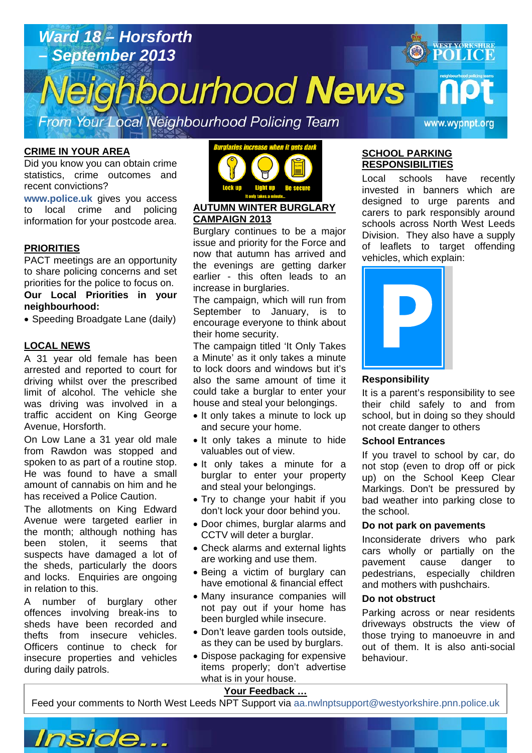# *Ward 18 – Horsforth*  **WEST YORKSHIRE** *– September 2013*  **POLICE** ighbourhood News From Your Local Neighbourhood Policing Team www.wypnpt.org

#### **CRIME IN YOUR AREA**

Did you know you can obtain crime statistics, crime outcomes and recent convictions?

**www.police.uk** gives you access to local crime and policing information for your postcode area.

#### **PRIORITIES**

PACT meetings are an opportunity to share policing concerns and set priorities for the police to focus on. **Our Local Priorities in your neighbourhood:** 

• Speeding Broadgate Lane (daily)

#### **LOCAL NEWS**

A 31 year old female has been arrested and reported to court for driving whilst over the prescribed limit of alcohol. The vehicle she was driving was involved in a traffic accident on King George Avenue, Horsforth.

On Low Lane a 31 year old male from Rawdon was stopped and spoken to as part of a routine stop. He was found to have a small amount of cannabis on him and he has received a Police Caution.

The allotments on King Edward Avenue were targeted earlier in the month; although nothing has been stolen, it seems that suspects have damaged a lot of the sheds, particularly the doors and locks. Enquiries are ongoing in relation to this.

A number of burglary other offences involving break-ins to sheds have been recorded and thefts from insecure vehicles. Officers continue to check for insecure properties and vehicles during daily patrols.



# **AUTUMN WINTER BURGLARY CAMPAIGN 2013**

Burglary continues to be a major issue and priority for the Force and now that autumn has arrived and the evenings are getting darker earlier - this often leads to an increase in burglaries.

The campaign, which will run from September to January, is to encourage everyone to think about their home security.

The campaign titled 'It Only Takes a Minute' as it only takes a minute to lock doors and windows but it's also the same amount of time it could take a burglar to enter your house and steal your belongings.

- It only takes a minute to lock up and secure your home.
- It only takes a minute to hide valuables out of view.
- It only takes a minute for a burglar to enter your property and steal your belongings.
- Try to change your habit if you don't lock your door behind you.
- Door chimes, burglar alarms and CCTV will deter a burglar.
- Check alarms and external lights are working and use them.
- Being a victim of burglary can have emotional & financial effect
- Many insurance companies will not pay out if your home has been burgled while insecure.
- Don't leave garden tools outside. as they can be used by burglars.
- Dispose packaging for expensive items properly; don't advertise what is in your house.

### **SCHOOL PARKING RESPONSIBILITIES**

Local schools have recently invested in banners which are designed to urge parents and carers to park responsibly around schools across North West Leeds Division. They also have a supply of leaflets to target offending vehicles, which explain:



#### **Responsibility**

It is a parent's responsibility to see their child safely to and from school, but in doing so they should not create danger to others

#### **School Entrances**

If you travel to school by car, do not stop (even to drop off or pick up) on the School Keep Clear Markings. Don't be pressured by bad weather into parking close to the school.

#### **Do not park on pavements**

Inconsiderate drivers who park cars wholly or partially on the pavement cause danger to pedestrians, especially children and mothers with pushchairs.

#### **Do not obstruct**

**Article about? Pg 3 Article about? Pg 4** 

Parking across or near residents driveways obstructs the view of those trying to manoeuvre in and out of them. It is also anti-social behaviour.

# **Your Feedback …**

Feed your comments to North West Leeds NPT Support via aa.nwinptsupport@westyorkshire.pnn.police.uk